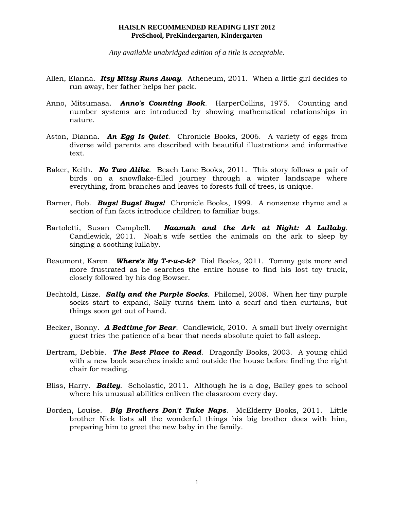*Any available unabridged edition of a title is acceptable.*

- Allen, Elanna. *Itsy Mitsy Runs Away*. Atheneum, 2011. When a little girl decides to run away, her father helps her pack.
- Anno, Mitsumasa. *Anno's Counting Book*. HarperCollins, 1975. Counting and number systems are introduced by showing mathematical relationships in nature.
- Aston, Dianna. *An Egg Is Quiet*. Chronicle Books, 2006. A variety of eggs from diverse wild parents are described with beautiful illustrations and informative text.
- Baker, Keith. *No Two Alike*. Beach Lane Books, 2011. This story follows a pair of birds on a snowflake-filled journey through a winter landscape where everything, from branches and leaves to forests full of trees, is unique.
- Barner, Bob. *Bugs! Bugs! Bugs!* Chronicle Books, 1999. A nonsense rhyme and a section of fun facts introduce children to familiar bugs.
- Bartoletti, Susan Campbell. *Naamah and the Ark at Night: A Lullaby*. Candlewick, 2011. Noah's wife settles the animals on the ark to sleep by singing a soothing lullaby.
- Beaumont, Karen. *Where's My T-r-u-c-k?* Dial Books, 2011. Tommy gets more and more frustrated as he searches the entire house to find his lost toy truck, closely followed by his dog Bowser.
- Bechtold, Lisze. *Sally and the Purple Socks*. Philomel, 2008. When her tiny purple socks start to expand, Sally turns them into a scarf and then curtains, but things soon get out of hand.
- Becker, Bonny. *A Bedtime for Bear*. Candlewick, 2010. A small but lively overnight guest tries the patience of a bear that needs absolute quiet to fall asleep.
- Bertram, Debbie. *The Best Place to Read*. Dragonfly Books, 2003. A young child with a new book searches inside and outside the house before finding the right chair for reading.
- Bliss, Harry. *Bailey*. Scholastic, 2011. Although he is a dog, Bailey goes to school where his unusual abilities enliven the classroom every day.
- Borden, Louise. *Big Brothers Don't Take Naps*. McElderry Books, 2011. Little brother Nick lists all the wonderful things his big brother does with him, preparing him to greet the new baby in the family.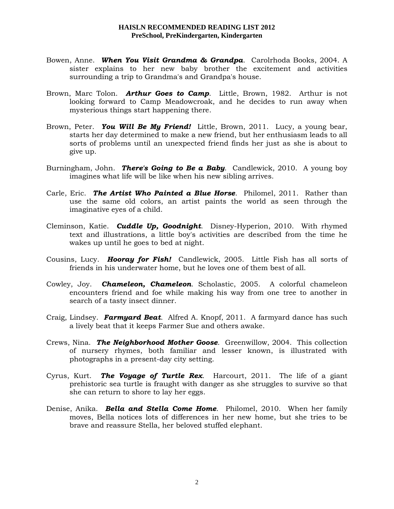- Bowen, Anne. *When You Visit Grandma & Grandpa*. Carolrhoda Books, 2004. A sister explains to her new baby brother the excitement and activities surrounding a trip to Grandma's and Grandpa's house.
- Brown, Marc Tolon. *Arthur Goes to Camp*. Little, Brown, 1982. Arthur is not looking forward to Camp Meadowcroak, and he decides to run away when mysterious things start happening there.
- Brown, Peter. *You Will Be My Friend!* Little, Brown, 2011. Lucy, a young bear, starts her day determined to make a new friend, but her enthusiasm leads to all sorts of problems until an unexpected friend finds her just as she is about to give up.
- Burningham, John. *There's Going to Be a Baby*. Candlewick, 2010. A young boy imagines what life will be like when his new sibling arrives.
- Carle, Eric. *The Artist Who Painted a Blue Horse*. Philomel, 2011. Rather than use the same old colors, an artist paints the world as seen through the imaginative eyes of a child.
- Cleminson, Katie. *Cuddle Up, Goodnight*. Disney-Hyperion, 2010. With rhymed text and illustrations, a little boy's activities are described from the time he wakes up until he goes to bed at night.
- Cousins, Lucy. *Hooray for Fish!* Candlewick, 2005. Little Fish has all sorts of friends in his underwater home, but he loves one of them best of all.
- Cowley, Joy. *Chameleon, Chameleon*. Scholastic, 2005. A colorful chameleon encounters friend and foe while making his way from one tree to another in search of a tasty insect dinner.
- Craig, Lindsey. *Farmyard Beat*. Alfred A. Knopf, 2011. A farmyard dance has such a lively beat that it keeps Farmer Sue and others awake.
- Crews, Nina. *The Neighborhood Mother Goose*. Greenwillow, 2004. This collection of nursery rhymes, both familiar and lesser known, is illustrated with photographs in a present-day city setting.
- Cyrus, Kurt. *The Voyage of Turtle Rex*. Harcourt, 2011. The life of a giant prehistoric sea turtle is fraught with danger as she struggles to survive so that she can return to shore to lay her eggs.
- Denise, Anika. *Bella and Stella Come Home*. Philomel, 2010. When her family moves, Bella notices lots of differences in her new home, but she tries to be brave and reassure Stella, her beloved stuffed elephant.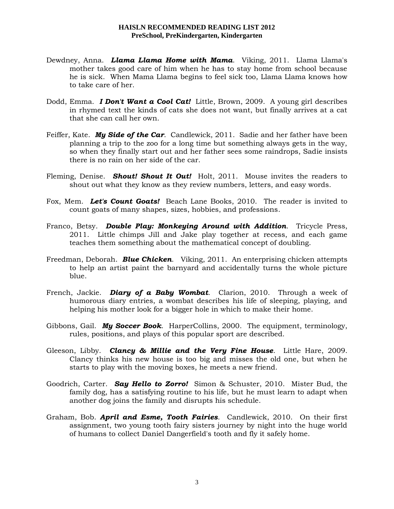- Dewdney, Anna. *Llama Llama Home with Mama*. Viking, 2011. Llama Llama's mother takes good care of him when he has to stay home from school because he is sick. When Mama Llama begins to feel sick too, Llama Llama knows how to take care of her.
- Dodd, Emma. *I Don't Want a Cool Cat!* Little, Brown, 2009. A young girl describes in rhymed text the kinds of cats she does not want, but finally arrives at a cat that she can call her own.
- Feiffer, Kate. *My Side of the Car*. Candlewick, 2011. Sadie and her father have been planning a trip to the zoo for a long time but something always gets in the way, so when they finally start out and her father sees some raindrops, Sadie insists there is no rain on her side of the car.
- Fleming, Denise. *Shout! Shout It Out!* Holt, 2011. Mouse invites the readers to shout out what they know as they review numbers, letters, and easy words.
- Fox, Mem. *Let's Count Goats!* Beach Lane Books, 2010. The reader is invited to count goats of many shapes, sizes, hobbies, and professions.
- Franco, Betsy. *Double Play: Monkeying Around with Addition*. Tricycle Press, 2011. Little chimps Jill and Jake play together at recess, and each game teaches them something about the mathematical concept of doubling.
- Freedman, Deborah. *Blue Chicken*. Viking, 2011. An enterprising chicken attempts to help an artist paint the barnyard and accidentally turns the whole picture blue.
- French, Jackie. *Diary of a Baby Wombat*. Clarion, 2010. Through a week of humorous diary entries, a wombat describes his life of sleeping, playing, and helping his mother look for a bigger hole in which to make their home.
- Gibbons, Gail. *My Soccer Book*. HarperCollins, 2000. The equipment, terminology, rules, positions, and plays of this popular sport are described.
- Gleeson, Libby. *Clancy & Millie and the Very Fine House*. Little Hare, 2009. Clancy thinks his new house is too big and misses the old one, but when he starts to play with the moving boxes, he meets a new friend.
- Goodrich, Carter. *Say Hello to Zorro!* Simon & Schuster, 2010. Mister Bud, the family dog, has a satisfying routine to his life, but he must learn to adapt when another dog joins the family and disrupts his schedule.
- Graham, Bob. *April and Esme, Tooth Fairies*. Candlewick, 2010. On their first assignment, two young tooth fairy sisters journey by night into the huge world of humans to collect Daniel Dangerfield's tooth and fly it safely home.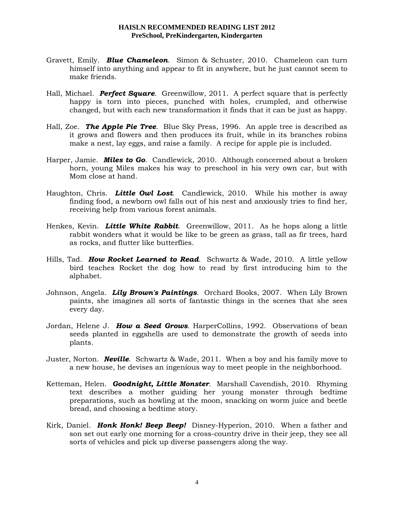- Gravett, Emily. *Blue Chameleon*. Simon & Schuster, 2010. Chameleon can turn himself into anything and appear to fit in anywhere, but he just cannot seem to make friends.
- Hall, Michael. *Perfect Square*. Greenwillow, 2011. A perfect square that is perfectly happy is torn into pieces, punched with holes, crumpled, and otherwise changed, but with each new transformation it finds that it can be just as happy.
- Hall, Zoe. *The Apple Pie Tree*. Blue Sky Press, 1996. An apple tree is described as it grows and flowers and then produces its fruit, while in its branches robins make a nest, lay eggs, and raise a family. A recipe for apple pie is included.
- Harper, Jamie. *Miles to Go*. Candlewick, 2010. Although concerned about a broken horn, young Miles makes his way to preschool in his very own car, but with Mom close at hand.
- Haughton, Chris. *Little Owl Lost*. Candlewick, 2010. While his mother is away finding food, a newborn owl falls out of his nest and anxiously tries to find her, receiving help from various forest animals.
- Henkes, Kevin. *Little White Rabbit*. Greenwillow, 2011. As he hops along a little rabbit wonders what it would be like to be green as grass, tall as fir trees, hard as rocks, and flutter like butterflies.
- Hills, Tad. *How Rocket Learned to Read*. Schwartz & Wade, 2010. A little yellow bird teaches Rocket the dog how to read by first introducing him to the alphabet.
- Johnson, Angela. *Lily Brown's Paintings*. Orchard Books, 2007. When Lily Brown paints, she imagines all sorts of fantastic things in the scenes that she sees every day.
- Jordan, Helene J. *How a Seed Grows*. HarperCollins, 1992. Observations of bean seeds planted in eggshells are used to demonstrate the growth of seeds into plants.
- Juster, Norton. *Neville*. Schwartz & Wade, 2011. When a boy and his family move to a new house, he devises an ingenious way to meet people in the neighborhood.
- Ketteman, Helen. *Goodnight, Little Monster*. Marshall Cavendish, 2010. Rhyming text describes a mother guiding her young monster through bedtime preparations, such as howling at the moon, snacking on worm juice and beetle bread, and choosing a bedtime story.
- Kirk, Daniel. *Honk Honk! Beep Beep!* Disney-Hyperion, 2010. When a father and son set out early one morning for a cross-country drive in their jeep, they see all sorts of vehicles and pick up diverse passengers along the way.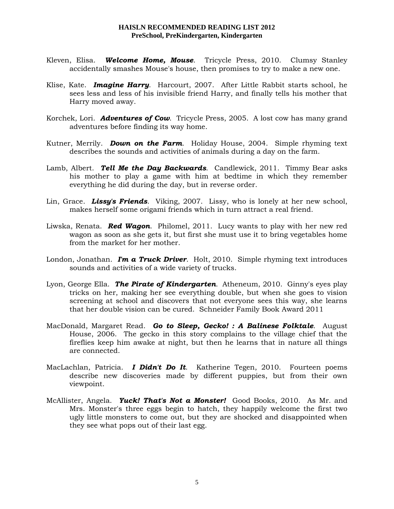- Kleven, Elisa. *Welcome Home, Mouse*. Tricycle Press, 2010. Clumsy Stanley accidentally smashes Mouse's house, then promises to try to make a new one.
- Klise, Kate. *Imagine Harry*. Harcourt, 2007. After Little Rabbit starts school, he sees less and less of his invisible friend Harry, and finally tells his mother that Harry moved away.
- Korchek, Lori. *Adventures of Cow*. Tricycle Press, 2005. A lost cow has many grand adventures before finding its way home.
- Kutner, Merrily. *Down on the Farm*. Holiday House, 2004. Simple rhyming text describes the sounds and activities of animals during a day on the farm.
- Lamb, Albert. *Tell Me the Day Backwards*. Candlewick, 2011. Timmy Bear asks his mother to play a game with him at bedtime in which they remember everything he did during the day, but in reverse order.
- Lin, Grace. *Lissy's Friends*. Viking, 2007. Lissy, who is lonely at her new school, makes herself some origami friends which in turn attract a real friend.
- Liwska, Renata. *Red Wagon*. Philomel, 2011. Lucy wants to play with her new red wagon as soon as she gets it, but first she must use it to bring vegetables home from the market for her mother.
- London, Jonathan. *I'm a Truck Driver*. Holt, 2010. Simple rhyming text introduces sounds and activities of a wide variety of trucks.
- Lyon, George Ella. *The Pirate of Kindergarten.* Atheneum, 2010. Ginny's eyes play tricks on her, making her see everything double, but when she goes to vision screening at school and discovers that not everyone sees this way, she learns that her double vision can be cured. Schneider Family Book Award 2011
- MacDonald, Margaret Read. *Go to Sleep, Gecko! : A Balinese Folktale*. August House, 2006. The gecko in this story complains to the village chief that the fireflies keep him awake at night, but then he learns that in nature all things are connected.
- MacLachlan, Patricia. *I Didn't Do It*. Katherine Tegen, 2010. Fourteen poems describe new discoveries made by different puppies, but from their own viewpoint.
- McAllister, Angela. *Yuck! That's Not a Monster!* Good Books, 2010. As Mr. and Mrs. Monster's three eggs begin to hatch, they happily welcome the first two ugly little monsters to come out, but they are shocked and disappointed when they see what pops out of their last egg.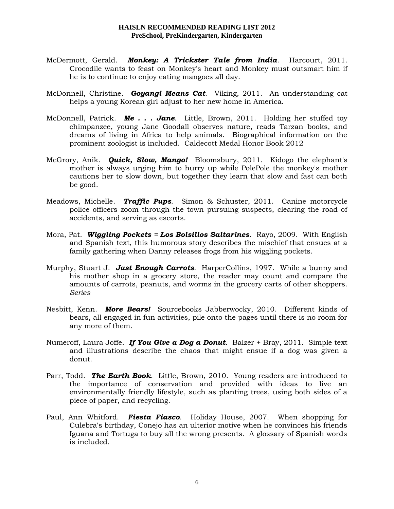- McDermott, Gerald. *Monkey: A Trickster Tale from India*. Harcourt, 2011. Crocodile wants to feast on Monkey's heart and Monkey must outsmart him if he is to continue to enjoy eating mangoes all day.
- McDonnell, Christine. *Goyangi Means Cat*. Viking, 2011. An understanding cat helps a young Korean girl adjust to her new home in America.
- McDonnell, Patrick. *Me . . . Jane*. Little, Brown, 2011. Holding her stuffed toy chimpanzee, young Jane Goodall observes nature, reads Tarzan books, and dreams of living in Africa to help animals. Biographical information on the prominent zoologist is included. Caldecott Medal Honor Book 2012
- McGrory, Anik. *Quick, Slow, Mango!* Bloomsbury, 2011. Kidogo the elephant's mother is always urging him to hurry up while PolePole the monkey's mother cautions her to slow down, but together they learn that slow and fast can both be good.
- Meadows, Michelle. *Traffic Pups*. Simon & Schuster, 2011. Canine motorcycle police officers zoom through the town pursuing suspects, clearing the road of accidents, and serving as escorts.
- Mora, Pat. *Wiggling Pockets = Los Bolsillos Saltarines*.Rayo, 2009. With English and Spanish text, this humorous story describes the mischief that ensues at a family gathering when Danny releases frogs from his wiggling pockets.
- Murphy, Stuart J. *Just Enough Carrots*. HarperCollins, 1997. While a bunny and his mother shop in a grocery store, the reader may count and compare the amounts of carrots, peanuts, and worms in the grocery carts of other shoppers. *Series*
- Nesbitt, Kenn. *More Bears!* Sourcebooks Jabberwocky, 2010. Different kinds of bears, all engaged in fun activities, pile onto the pages until there is no room for any more of them.
- Numeroff, Laura Joffe. *If You Give a Dog a Donut*. Balzer + Bray, 2011. Simple text and illustrations describe the chaos that might ensue if a dog was given a donut.
- Parr, Todd. *The Earth Book*. Little, Brown, 2010. Young readers are introduced to the importance of conservation and provided with ideas to live an environmentally friendly lifestyle, such as planting trees, using both sides of a piece of paper, and recycling.
- Paul, Ann Whitford. *Fiesta Fiasco*. Holiday House, 2007. When shopping for Culebra's birthday, Conejo has an ulterior motive when he convinces his friends Iguana and Tortuga to buy all the wrong presents. A glossary of Spanish words is included.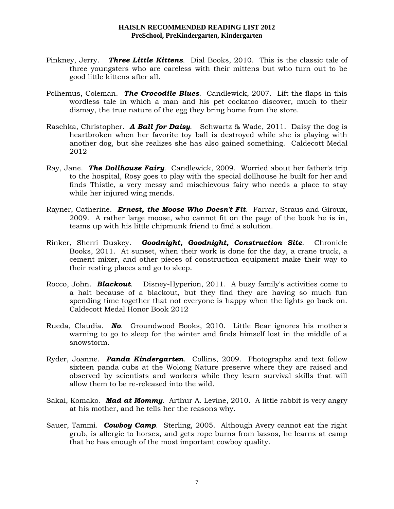- Pinkney, Jerry. *Three Little Kittens*. Dial Books, 2010. This is the classic tale of three youngsters who are careless with their mittens but who turn out to be good little kittens after all.
- Polhemus, Coleman. *The Crocodile Blues*. Candlewick, 2007. Lift the flaps in this wordless tale in which a man and his pet cockatoo discover, much to their dismay, the true nature of the egg they bring home from the store.
- Raschka, Christopher. *A Ball for Daisy*.Schwartz & Wade, 2011. Daisy the dog is heartbroken when her favorite toy ball is destroyed while she is playing with another dog, but she realizes she has also gained something. Caldecott Medal 2012
- Ray, Jane. *The Dollhouse Fairy*. Candlewick, 2009. Worried about her father's trip to the hospital, Rosy goes to play with the special dollhouse he built for her and finds Thistle, a very messy and mischievous fairy who needs a place to stay while her injured wing mends.
- Rayner, Catherine. *Ernest, the Moose Who Doesn't Fit*. Farrar, Straus and Giroux, 2009. A rather large moose, who cannot fit on the page of the book he is in, teams up with his little chipmunk friend to find a solution.
- Rinker, Sherri Duskey. *Goodnight, Goodnight, Construction Site*. Chronicle Books, 2011. At sunset, when their work is done for the day, a crane truck, a cement mixer, and other pieces of construction equipment make their way to their resting places and go to sleep.
- Rocco, John. *Blackout*. Disney-Hyperion, 2011. A busy family's activities come to a halt because of a blackout, but they find they are having so much fun spending time together that not everyone is happy when the lights go back on. Caldecott Medal Honor Book 2012
- Rueda, Claudia. *No*. Groundwood Books, 2010. Little Bear ignores his mother's warning to go to sleep for the winter and finds himself lost in the middle of a snowstorm.
- Ryder, Joanne. *Panda Kindergarten*. Collins, 2009. Photographs and text follow sixteen panda cubs at the Wolong Nature preserve where they are raised and observed by scientists and workers while they learn survival skills that will allow them to be re-released into the wild.
- Sakai, Komako. *Mad at Mommy*. Arthur A. Levine, 2010. A little rabbit is very angry at his mother, and he tells her the reasons why.
- Sauer, Tammi. *Cowboy Camp*. Sterling, 2005. Although Avery cannot eat the right grub, is allergic to horses, and gets rope burns from lassos, he learns at camp that he has enough of the most important cowboy quality.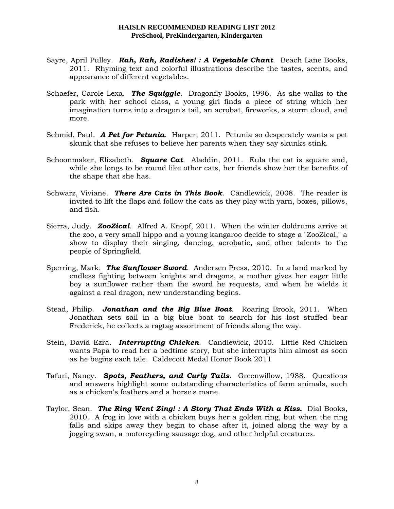- Sayre, April Pulley. *Rah, Rah, Radishes! : A Vegetable Chant*. Beach Lane Books, 2011. Rhyming text and colorful illustrations describe the tastes, scents, and appearance of different vegetables.
- Schaefer, Carole Lexa. *The Squiggle*. Dragonfly Books, 1996. As she walks to the park with her school class, a young girl finds a piece of string which her imagination turns into a dragon's tail, an acrobat, fireworks, a storm cloud, and more.
- Schmid, Paul. *A Pet for Petunia*. Harper, 2011. Petunia so desperately wants a pet skunk that she refuses to believe her parents when they say skunks stink.
- Schoonmaker, Elizabeth. *Square Cat*. Aladdin, 2011. Eula the cat is square and, while she longs to be round like other cats, her friends show her the benefits of the shape that she has.
- Schwarz, Viviane. *There Are Cats in This Book*. Candlewick, 2008. The reader is invited to lift the flaps and follow the cats as they play with yarn, boxes, pillows, and fish.
- Sierra, Judy. *ZooZical*. Alfred A. Knopf, 2011. When the winter doldrums arrive at the zoo, a very small hippo and a young kangaroo decide to stage a "ZooZical," a show to display their singing, dancing, acrobatic, and other talents to the people of Springfield.
- Sperring, Mark. *The Sunflower Sword*. Andersen Press, 2010. In a land marked by endless fighting between knights and dragons, a mother gives her eager little boy a sunflower rather than the sword he requests, and when he wields it against a real dragon, new understanding begins.
- Stead, Philip. *Jonathan and the Big Blue Boat*. Roaring Brook, 2011. When Jonathan sets sail in a big blue boat to search for his lost stuffed bear Frederick, he collects a ragtag assortment of friends along the way.
- Stein, David Ezra. *Interrupting Chicken*. Candlewick, 2010. Little Red Chicken wants Papa to read her a bedtime story, but she interrupts him almost as soon as he begins each tale. Caldecott Medal Honor Book 2011
- Tafuri, Nancy. *Spots, Feathers, and Curly Tails*. Greenwillow, 1988. Questions and answers highlight some outstanding characteristics of farm animals, such as a chicken's feathers and a horse's mane.
- Taylor, Sean. *The Ring Went Zing! : A Story That Ends With a Kiss.* Dial Books, 2010. A frog in love with a chicken buys her a golden ring, but when the ring falls and skips away they begin to chase after it, joined along the way by a jogging swan, a motorcycling sausage dog, and other helpful creatures.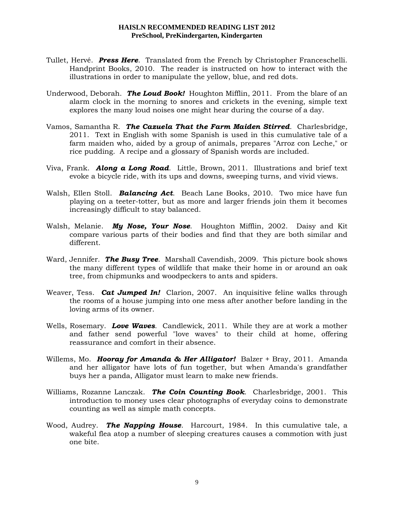- Tullet, Hervé. *Press Here*. Translated from the French by Christopher Franceschelli. Handprint Books, 2010. The reader is instructed on how to interact with the illustrations in order to manipulate the yellow, blue, and red dots.
- Underwood, Deborah. *The Loud Book!* Houghton Mifflin, 2011. From the blare of an alarm clock in the morning to snores and crickets in the evening, simple text explores the many loud noises one might hear during the course of a day.
- Vamos, Samantha R. *The Cazuela That the Farm Maiden Stirred*. Charlesbridge, 2011. Text in English with some Spanish is used in this cumulative tale of a farm maiden who, aided by a group of animals, prepares "Arroz con Leche," or rice pudding. A recipe and a glossary of Spanish words are included.
- Viva, Frank. *Along a Long Road*. Little, Brown, 2011. Illustrations and brief text evoke a bicycle ride, with its ups and downs, sweeping turns, and vivid views.
- Walsh, Ellen Stoll. *Balancing Act*. Beach Lane Books, 2010. Two mice have fun playing on a teeter-totter, but as more and larger friends join them it becomes increasingly difficult to stay balanced.
- Walsh, Melanie. *My Nose, Your Nose*. Houghton Mifflin, 2002. Daisy and Kit compare various parts of their bodies and find that they are both similar and different.
- Ward, Jennifer. *The Busy Tree*. Marshall Cavendish, 2009. This picture book shows the many different types of wildlife that make their home in or around an oak tree, from chipmunks and woodpeckers to ants and spiders.
- Weaver, Tess. *Cat Jumped In!* Clarion, 2007. An inquisitive feline walks through the rooms of a house jumping into one mess after another before landing in the loving arms of its owner.
- Wells, Rosemary. *Love Waves*. Candlewick, 2011. While they are at work a mother and father send powerful "love waves" to their child at home, offering reassurance and comfort in their absence.
- Willems, Mo. *Hooray for Amanda & Her Alligator!* Balzer + Bray, 2011. Amanda and her alligator have lots of fun together, but when Amanda's grandfather buys her a panda, Alligator must learn to make new friends.
- Williams, Rozanne Lanczak. *The Coin Counting Book*. Charlesbridge, 2001. This introduction to money uses clear photographs of everyday coins to demonstrate counting as well as simple math concepts.
- Wood, Audrey. *The Napping House*. Harcourt, 1984. In this cumulative tale, a wakeful flea atop a number of sleeping creatures causes a commotion with just one bite.